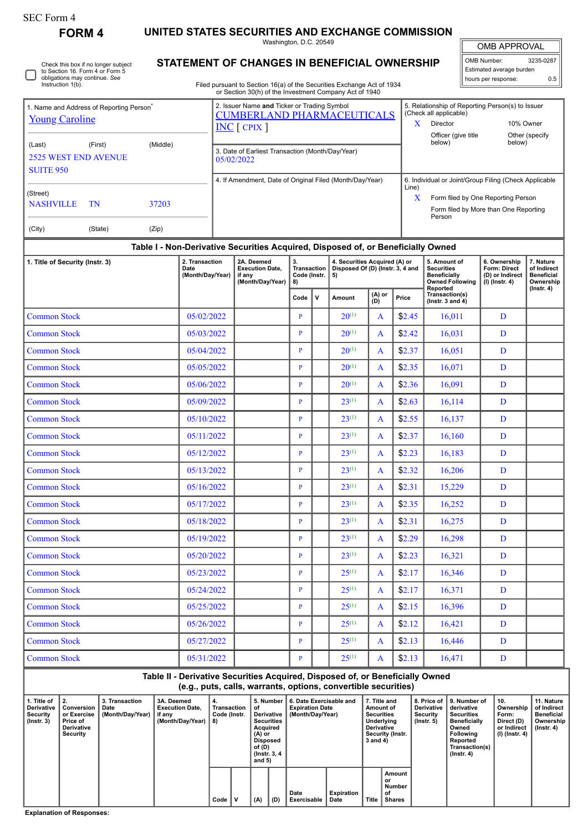Check this box if no longer subject

**FORM 4 UNITED STATES SECURITIES AND EXCHANGE COMMISSION**

Washington, D.C. 20549 **STATEMENT OF CHANGES IN BENEFICIAL OWNERSHIP**

OMB APPROVAL

 $\mathbb{I}$ 

| OMB Number:              | 3235-0287 |  |  |  |  |  |  |  |
|--------------------------|-----------|--|--|--|--|--|--|--|
| Estimated average burden |           |  |  |  |  |  |  |  |
| hours per response:      | ሰ 5       |  |  |  |  |  |  |  |

to Section 16. Form 4 or Form 5 obligations may continue. *See* Instruction 1(b). Filed pursuant to Section 16(a) of the Securities Exchange Act of 1934 or Section 30(h) of the Investment Company Act of 1940 ΙL 2. Issuer Name **and** Ticker or Trading Symbol 5. Relationship of Reporting Person(s) to Issuer 1. Name and Address of Reporting Person\* (Check all applicable) [CUMBERLAND PHARMACEUTICALS](http://www.sec.gov/cgi-bin/browse-edgar?action=getcompany&CIK=0001087294) **[Young Caroline](http://www.sec.gov/cgi-bin/browse-edgar?action=getcompany&CIK=0001684087)** X Director 10% Owner INC [ CPIX ] Officer (give title Other (specify (Last) (First) (Middle) below) below) 3. Date of Earliest Transaction (Month/Day/Year) 2525 WEST END AVENUE 05/02/2022 **SUITE 950** 4. If Amendment, Date of Original Filed (Month/Day/Year) 6. Individual or Joint/Group Filing (Check Applicable Line) (Street) X Form filed by One Reporting Person NASHVILLE TN 37203 Form filed by More than One Reporting Person (City) (State) (Zip) **Table I - Non-Derivative Securities Acquired, Disposed of, or Beneficially Owned**

| 1. Title of Security (Instr. 3) | 2. Transaction<br>Date<br>(Month/Day/Year) | 2A. Deemed<br><b>Execution Date.</b><br>if any<br>(Month/Day/Year) | 3.<br><b>Transaction</b><br>Code (Instr.<br>8) |             | 4. Securities Acquired (A) or<br>Disposed Of (D) (Instr. 3, 4 and<br>5) |                |        | 5. Amount of<br><b>Securities</b><br><b>Beneficially</b><br><b>Owned Following</b> | 6. Ownership<br>Form: Direct<br>(D) or Indirect<br>$(I)$ (Instr. 4) | 7. Nature<br>of Indirect<br><b>Beneficial</b><br>Ownership<br>$($ lnstr. 4 $)$ |
|---------------------------------|--------------------------------------------|--------------------------------------------------------------------|------------------------------------------------|-------------|-------------------------------------------------------------------------|----------------|--------|------------------------------------------------------------------------------------|---------------------------------------------------------------------|--------------------------------------------------------------------------------|
|                                 |                                            |                                                                    | Code                                           | $\mathbf v$ | Amount                                                                  | (A) or<br>(D)  | Price  | Reported<br>Transaction(s)<br>(Instr. $3$ and $4$ )                                |                                                                     |                                                                                |
| <b>Common Stock</b>             | 05/02/2022                                 |                                                                    | $\mathbf{P}$                                   |             | $20^{(1)}$                                                              | $\mathsf{A}$   | \$2.45 | 16,011                                                                             | D                                                                   |                                                                                |
| <b>Common Stock</b>             | 05/03/2022                                 |                                                                    | $\mathbf{P}$                                   |             | $20^{(1)}$                                                              | $\mathsf{A}$   | \$2.42 | 16,031                                                                             | D                                                                   |                                                                                |
| <b>Common Stock</b>             | 05/04/2022                                 |                                                                    | $\mathbf{P}$                                   |             | $20^{(1)}$                                                              | $\mathsf{A}$   | \$2.37 | 16,051                                                                             | D                                                                   |                                                                                |
| <b>Common Stock</b>             | 05/05/2022                                 |                                                                    | $\mathbf{P}$                                   |             | $20^{(1)}$                                                              | $\mathsf{A}$   | \$2.35 | 16.071                                                                             | D                                                                   |                                                                                |
| <b>Common Stock</b>             | 05/06/2022                                 |                                                                    | $\mathbf{P}$                                   |             | $20^{(1)}$                                                              | $\mathsf{A}$   | \$2.36 | 16.091                                                                             | D                                                                   |                                                                                |
| <b>Common Stock</b>             | 05/09/2022                                 |                                                                    | $\mathbf{P}$                                   |             | $23^{(1)}$                                                              | A              | \$2.63 | 16,114                                                                             | D                                                                   |                                                                                |
| <b>Common Stock</b>             | 05/10/2022                                 |                                                                    | $\mathbf{P}$                                   |             | $23^{(1)}$                                                              | A              | \$2.55 | 16,137                                                                             | D                                                                   |                                                                                |
| <b>Common Stock</b>             | 05/11/2022                                 |                                                                    | $\mathbf{P}$                                   |             | $23^{(1)}$                                                              | A              | \$2.37 | 16,160                                                                             | D                                                                   |                                                                                |
| <b>Common Stock</b>             | 05/12/2022                                 |                                                                    | P                                              |             | $23^{(1)}$                                                              | $\mathsf{A}$   | \$2.23 | 16,183                                                                             | D                                                                   |                                                                                |
| <b>Common Stock</b>             | 05/13/2022                                 |                                                                    | $\mathbf{P}$                                   |             | $23^{(1)}$                                                              | A              | \$2.32 | 16,206                                                                             | D                                                                   |                                                                                |
| <b>Common Stock</b>             | 05/16/2022                                 |                                                                    | $\mathbf{P}$                                   |             | $23^{(1)}$                                                              | A              | \$2.31 | 15,229                                                                             | D                                                                   |                                                                                |
| <b>Common Stock</b>             | 05/17/2022                                 |                                                                    | P                                              |             | $23^{(1)}$                                                              | A              | \$2.35 | 16,252                                                                             | D                                                                   |                                                                                |
| <b>Common Stock</b>             | 05/18/2022                                 |                                                                    | $\mathbf{P}$                                   |             | $23^{(1)}$                                                              | $\mathbf{A}$   | \$2.31 | 16,275                                                                             | D                                                                   |                                                                                |
| <b>Common Stock</b>             | 05/19/2022                                 |                                                                    | $\mathbf{P}$                                   |             | $23^{(1)}$                                                              | A              | \$2.29 | 16,298                                                                             | D                                                                   |                                                                                |
| <b>Common Stock</b>             | 05/20/2022                                 |                                                                    | $\mathbf{P}$                                   |             | $23^{(1)}$                                                              | A              | \$2.23 | 16,321                                                                             | D                                                                   |                                                                                |
| <b>Common Stock</b>             | 05/23/2022                                 |                                                                    | $\mathbf{P}$                                   |             | $25^{(1)}$                                                              | $\overline{A}$ | \$2.17 | 16,346                                                                             | D                                                                   |                                                                                |
| <b>Common Stock</b>             | 05/24/2022                                 |                                                                    | $\mathbf{P}$                                   |             | $25^{(1)}$                                                              | A              | \$2.17 | 16,371                                                                             | D                                                                   |                                                                                |
| <b>Common Stock</b>             | 05/25/2022                                 |                                                                    | P                                              |             | $25^{(1)}$                                                              | A              | \$2.15 | 16,396                                                                             | D                                                                   |                                                                                |
| <b>Common Stock</b>             | 05/26/2022                                 |                                                                    | P                                              |             | $25^{(1)}$                                                              | A              | \$2.12 | 16,421                                                                             | D                                                                   |                                                                                |
| <b>Common Stock</b>             | 05/27/2022                                 |                                                                    | $\mathbf{P}$                                   |             | $25^{(1)}$                                                              | A              | \$2.13 | 16,446                                                                             | D                                                                   |                                                                                |
| <b>Common Stock</b>             | 05/31/2022                                 |                                                                    | $\mathbf{P}$                                   |             | $25^{(1)}$                                                              | A              | \$2.13 | 16,471                                                                             | D                                                                   |                                                                                |

## **Table II - Derivative Securities Acquired, Disposed of, or Beneficially Owned (e.g., puts, calls, warrants, options, convertible securities)**

| 1. Title of<br><b>Derivative</b><br>Security<br>$($ lnstr. 3 $)$ |  | Conversion<br>or Exercise<br>Price of<br><b>Derivative</b><br>Security | 3. Transaction<br>Date<br>(Month/Day/Year) | 3A. Deemed<br><b>Execution Date.</b><br>if any<br>(Month/Day/Year) | 4.<br>Transaction<br>Code (Instr.<br>8) |  | 5. Number  <br>οt<br>Derivative<br><b>Securities</b><br>Acauired<br>(A) or<br>Disposed<br>of (D)<br>(Instr. 3, 4)<br>and $5)$ |     | 6. Date Exercisable and<br><b>Expiration Date</b><br>(Month/Day/Year) |                           | 7. Title and<br>Amount of<br><b>Securities</b><br>Underlying<br><b>Derivative</b><br>Security (Instr.<br>3 and 4) |                                        | Derivative<br>Security<br>$($ lnstr. 5 $)$ | 8. Price of 19. Number of<br>derivative<br><b>Securities</b><br><b>Beneficially</b><br>Owned<br>Following<br>Reported<br>Transaction(s)<br>(Instr. 4) | $^{\circ}$ 10.<br>Ownership<br>Form:<br>Direct (D)<br>or Indirect<br>(I) (Instr. 4) | 11. Nature<br>of Indirect<br>Beneficial<br>Ownership<br>(Instr. 4) |
|------------------------------------------------------------------|--|------------------------------------------------------------------------|--------------------------------------------|--------------------------------------------------------------------|-----------------------------------------|--|-------------------------------------------------------------------------------------------------------------------------------|-----|-----------------------------------------------------------------------|---------------------------|-------------------------------------------------------------------------------------------------------------------|----------------------------------------|--------------------------------------------|-------------------------------------------------------------------------------------------------------------------------------------------------------|-------------------------------------------------------------------------------------|--------------------------------------------------------------------|
|                                                                  |  |                                                                        |                                            |                                                                    | Code                                    |  | (A)                                                                                                                           | (D) | Date<br>Exercisable                                                   | <b>Expiration</b><br>Date | Title                                                                                                             | Amount<br>or<br>Number<br>οf<br>Shares |                                            |                                                                                                                                                       |                                                                                     |                                                                    |